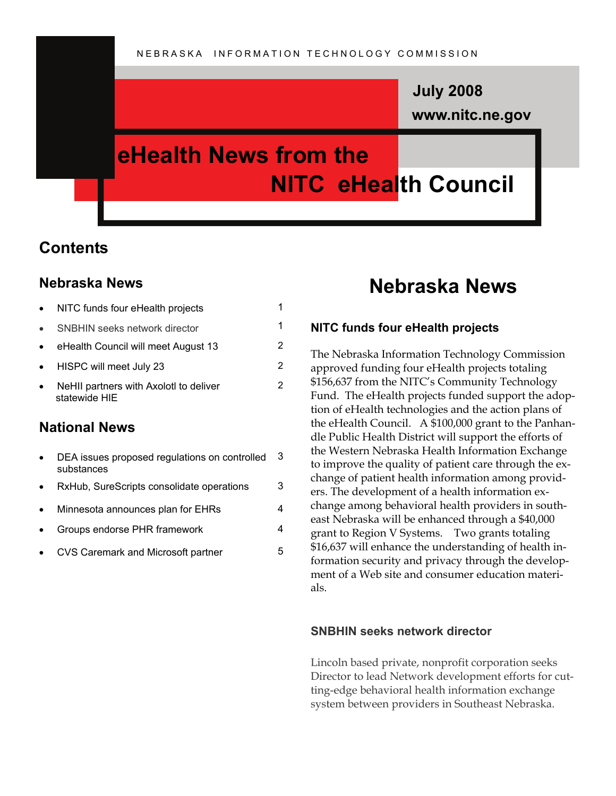### **www.nitc.ne.gov July 2008**

## **eHealth News from the NITC eHealth Council**

### **Contents**

#### **Nebraska News**

| NITC funds four eHealth projects                        |    |
|---------------------------------------------------------|----|
| <b>SNBHIN seeks network director</b>                    |    |
| eHealth Council will meet August 13                     | 2. |
| HISPC will meet July 23                                 | 2  |
| NeHII partners with AxolotI to deliver<br>statewide HIE |    |

#### **National News**

| DEA issues proposed regulations on controlled |  |
|-----------------------------------------------|--|
| substances                                    |  |

- RxHub, SureScripts consolidate operations 3
- Minnesota announces plan for EHRs 4
- Groups endorse PHR framework 4
- CVS Caremark and Microsoft partner 5

### **Nebraska News**

#### **NITC funds four eHealth projects**

The Nebraska Information Technology Commission approved funding four eHealth projects totaling \$156,637 from the NITC's Community Technology Fund. The eHealth projects funded support the adoption of eHealth technologies and the action plans of the eHealth Council. A \$100,000 grant to the Panhandle Public Health District will support the efforts of the Western Nebraska Health Information Exchange to improve the quality of patient care through the exchange of patient health information among providers. The development of a health information exchange among behavioral health providers in southeast Nebraska will be enhanced through a \$40,000 grant to Region V Systems. Two grants totaling \$16,637 will enhance the understanding of health information security and privacy through the development of a Web site and consumer education materials.

#### **SNBHIN seeks network director**

Lincoln based private, nonprofit corporation seeks Director to lead Network development efforts for cutting-edge behavioral health information exchange system between providers in Southeast Nebraska.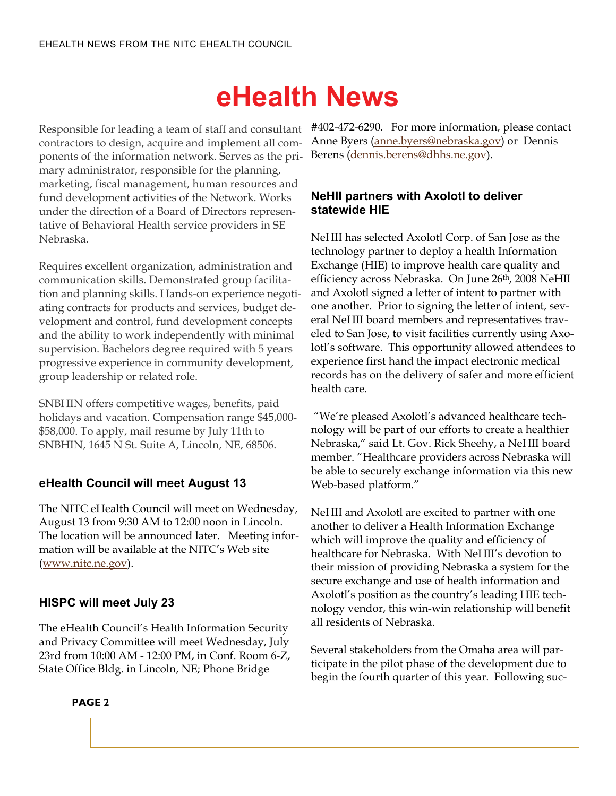# **eHealth News**

contractors to design, acquire and implement all components of the information network. Serves as the primary administrator, responsible for the planning, marketing, fiscal management, human resources and fund development activities of the Network. Works under the direction of a Board of Directors representative of Behavioral Health service providers in SE Nebraska.

Requires excellent organization, administration and communication skills. Demonstrated group facilitation and planning skills. Hands-on experience negotiating contracts for products and services, budget development and control, fund development concepts and the ability to work independently with minimal supervision. Bachelors degree required with 5 years progressive experience in community development, group leadership or related role.

SNBHIN offers competitive wages, benefits, paid holidays and vacation. Compensation range \$45,000- \$58,000. To apply, mail resume by July 11th to SNBHIN, 1645 N St. Suite A, Lincoln, NE, 68506.

#### **eHealth Council will meet August 13**

The NITC eHealth Council will meet on Wednesday, August 13 from 9:30 AM to 12:00 noon in Lincoln. The location will be announced later. Meeting information will be available at the NITC's Web site ([www.nitc.ne.gov](http://www.nitc.ne.gov/)).

#### **HISPC will meet July 23**

The eHealth Council's Health Information Security and Privacy Committee will meet Wednesday, July 23rd from 10:00 AM - 12:00 PM, in Conf. Room 6-Z, State Office Bldg. in Lincoln, NE; Phone Bridge

Responsible for leading a team of staff and consultant #402-472-6290. For more information, please contact Anne Byers ([anne.byers@nebraska.gov](mailto:anne.byers@nebraska.gov)) or Dennis Berens ([dennis.berens@dhhs.ne.gov](mailto:dennis.berens@dhhs.ne.gov)).

#### **NeHII partners with Axolotl to deliver statewide HIE**

NeHII has selected Axolotl Corp. of San Jose as the technology partner to deploy a health Information Exchange (HIE) to improve health care quality and efficiency across Nebraska. On June 26<sup>th</sup>, 2008 NeHII and Axolotl signed a letter of intent to partner with one another. Prior to signing the letter of intent, several NeHII board members and representatives traveled to San Jose, to visit facilities currently using Axolotl's software. This opportunity allowed attendees to experience first hand the impact electronic medical records has on the delivery of safer and more efficient health care.

 "We're pleased Axolotl's advanced healthcare technology will be part of our efforts to create a healthier Nebraska," said Lt. Gov. Rick Sheehy, a NeHII board member. "Healthcare providers across Nebraska will be able to securely exchange information via this new Web-based platform."

NeHII and Axolotl are excited to partner with one another to deliver a Health Information Exchange which will improve the quality and efficiency of healthcare for Nebraska. With NeHII's devotion to their mission of providing Nebraska a system for the secure exchange and use of health information and Axolotl's position as the country's leading HIE technology vendor, this win-win relationship will benefit all residents of Nebraska.

Several stakeholders from the Omaha area will participate in the pilot phase of the development due to begin the fourth quarter of this year. Following suc-

**PAGE 2**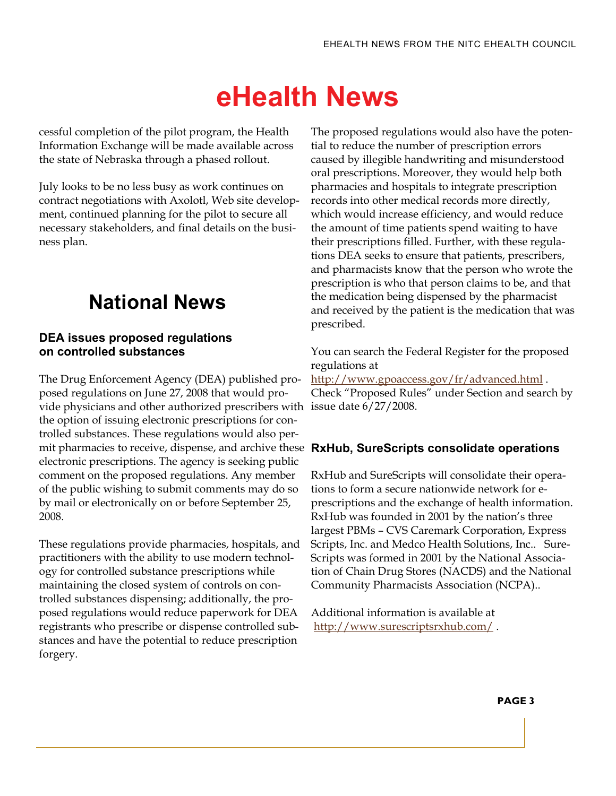# **eHealth News**

cessful completion of the pilot program, the Health Information Exchange will be made available across the state of Nebraska through a phased rollout.

July looks to be no less busy as work continues on contract negotiations with Axolotl, Web site development, continued planning for the pilot to secure all necessary stakeholders, and final details on the business plan.

### **National News**

#### **DEA issues proposed regulations on controlled substances**

The Drug Enforcement Agency (DEA) published proposed regulations on June 27, 2008 that would provide physicians and other authorized prescribers with issue date 6/27/2008. the option of issuing electronic prescriptions for controlled substances. These regulations would also permit pharmacies to receive, dispense, and archive these **RxHub, SureScripts consolidate operations**  electronic prescriptions. The agency is seeking public comment on the proposed regulations. Any member of the public wishing to submit comments may do so by mail or electronically on or before September 25, 2008.

These regulations provide pharmacies, hospitals, and practitioners with the ability to use modern technology for controlled substance prescriptions while maintaining the closed system of controls on controlled substances dispensing; additionally, the proposed regulations would reduce paperwork for DEA registrants who prescribe or dispense controlled substances and have the potential to reduce prescription forgery.

The proposed regulations would also have the potential to reduce the number of prescription errors caused by illegible handwriting and misunderstood oral prescriptions. Moreover, they would help both pharmacies and hospitals to integrate prescription records into other medical records more directly, which would increase efficiency, and would reduce the amount of time patients spend waiting to have their prescriptions filled. Further, with these regulations DEA seeks to ensure that patients, prescribers, and pharmacists know that the person who wrote the prescription is who that person claims to be, and that the medication being dispensed by the pharmacist and received by the patient is the medication that was prescribed.

You can search the Federal Register for the proposed regulations at

<http://www.gpoaccess.gov/fr/advanced.html>. Check "Proposed Rules" under Section and search by

RxHub and SureScripts will consolidate their operations to form a secure nationwide network for eprescriptions and the exchange of health information. RxHub was founded in 2001 by the nation's three largest PBMs – CVS Caremark Corporation, Express Scripts, Inc. and Medco Health Solutions, Inc.. Sure-Scripts was formed in 2001 by the National Association of Chain Drug Stores (NACDS) and the National Community Pharmacists Association (NCPA)..

Additional information is available at <http://www.surescriptsrxhub.com/> .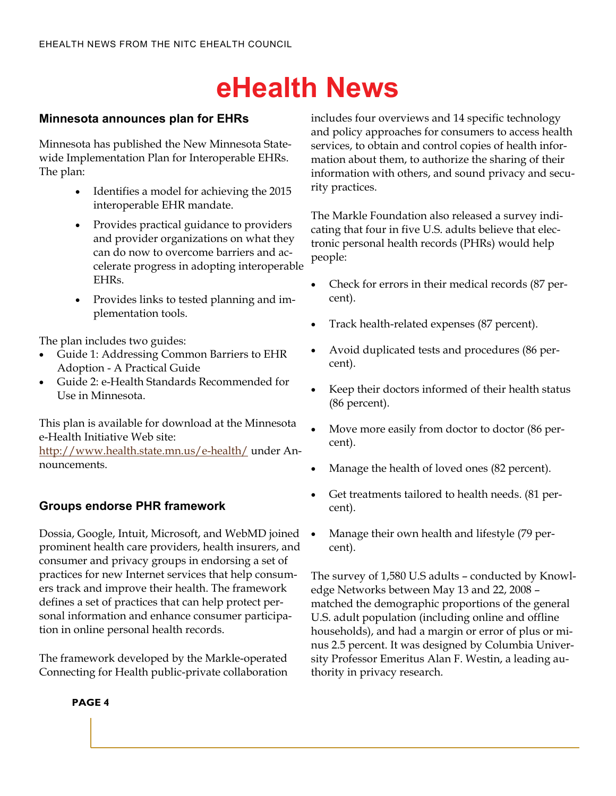# **eHealth News**

#### **Minnesota announces plan for EHRs**

Minnesota has published the New Minnesota Statewide Implementation Plan for Interoperable EHRs. The plan:

- Identifies a model for achieving the 2015 interoperable EHR mandate.
- Provides practical guidance to providers and provider organizations on what they can do now to overcome barriers and accelerate progress in adopting interoperable EHRs.
- Provides links to tested planning and implementation tools.

The plan includes two guides:

- Guide 1: Addressing Common Barriers to EHR Adoption - A Practical Guide
- Guide 2: e-Health Standards Recommended for Use in Minnesota.

This plan is available for download at the Minnesota e-Health Initiative Web site:

<http://www.health.state.mn.us/e-health/>under Announcements.

#### **Groups endorse PHR framework**

Dossia, Google, Intuit, Microsoft, and WebMD joined prominent health care providers, health insurers, and consumer and privacy groups in endorsing a set of practices for new Internet services that help consumers track and improve their health. The framework defines a set of practices that can help protect personal information and enhance consumer participation in online personal health records.

The framework developed by the Markle-operated Connecting for Health public-private collaboration includes four overviews and 14 specific technology and policy approaches for consumers to access health services, to obtain and control copies of health information about them, to authorize the sharing of their information with others, and sound privacy and security practices.

The Markle Foundation also released a survey indicating that four in five U.S. adults believe that electronic personal health records (PHRs) would help people:

- Check for errors in their medical records (87 percent).
- Track health-related expenses (87 percent).
- Avoid duplicated tests and procedures (86 percent).
- Keep their doctors informed of their health status (86 percent).
- Move more easily from doctor to doctor (86 percent).
- Manage the health of loved ones (82 percent).
- Get treatments tailored to health needs. (81 percent).
- Manage their own health and lifestyle (79 percent).

The survey of 1,580 U.S adults – conducted by Knowledge Networks between May 13 and 22, 2008 – matched the demographic proportions of the general U.S. adult population (including online and offline households), and had a margin or error of plus or minus 2.5 percent. It was designed by Columbia University Professor Emeritus Alan F. Westin, a leading authority in privacy research.